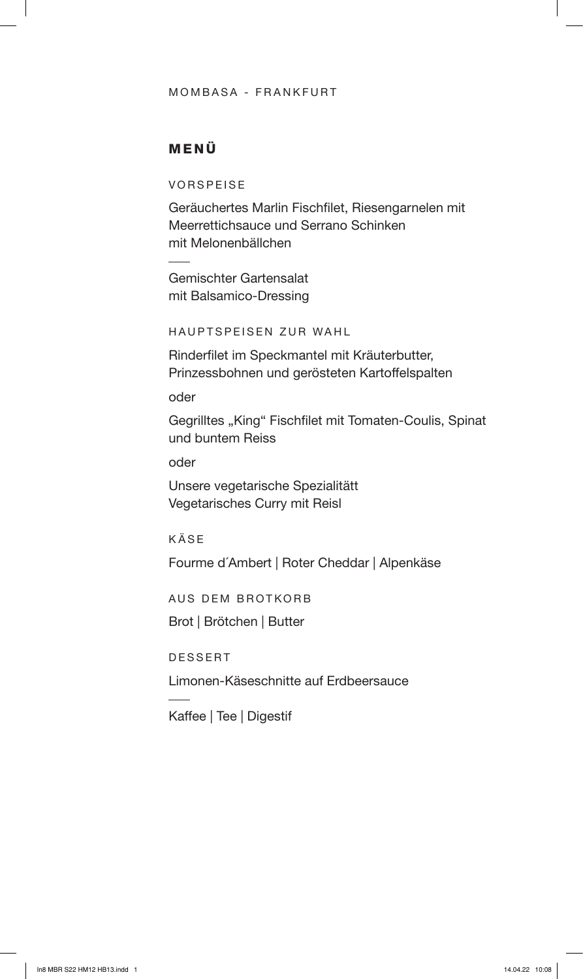### MOMBASA - FRANKFURT

## MENÜ

VORSPEISE

Geräuchertes Marlin Fischfilet, Riesengarnelen mit Meerrettichsauce und Serrano Schinken mit Melonenbällchen

Gemischter Gartensalat mit Balsamico-Dressing

HAUPTSPEISEN ZUR WAHL

Rinderfilet im Speckmantel mit Kräuterbutter, Prinzessbohnen und gerösteten Kartoffelspalten

oder

Gegrilltes "King" Fischfilet mit Tomaten-Coulis, Spinat und buntem Reiss

oder

Unsere vegetarische Spezialitätt Vegetarisches Curry mit Reisl

KÄSE

Fourme d´Ambert | Roter Cheddar | Alpenkäse

AUS DEM BROTKORB

Brot | Brötchen | Butter

DESSERT

Limonen-Käseschnitte auf Erdbeersauce

Kaffee | Tee | Digestif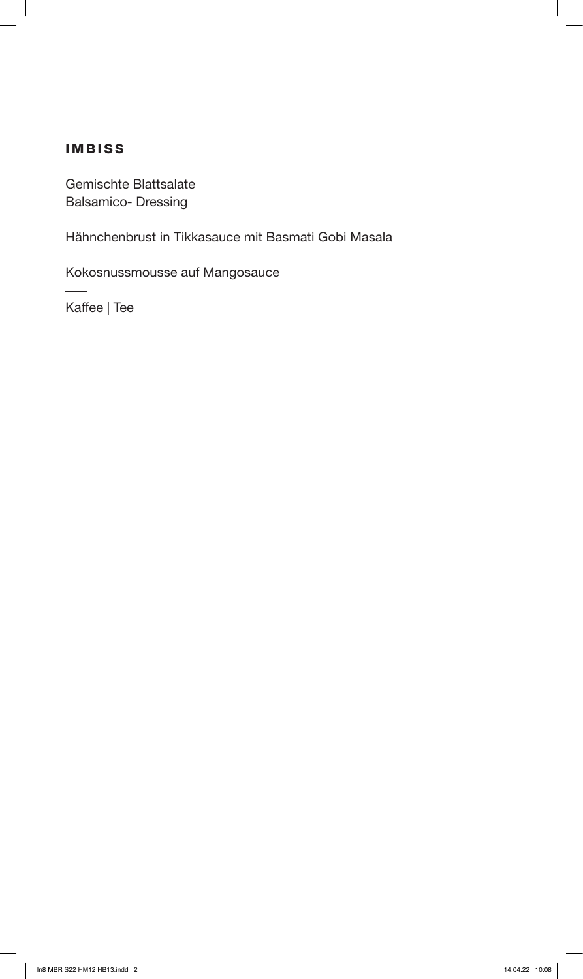# IMBISS

Gemischte Blattsalate Balsamico- Dressing

Hähnchenbrust in Tikkasauce mit Basmati Gobi Masala

Kokosnussmousse auf Mangosauce

Kaffee | Tee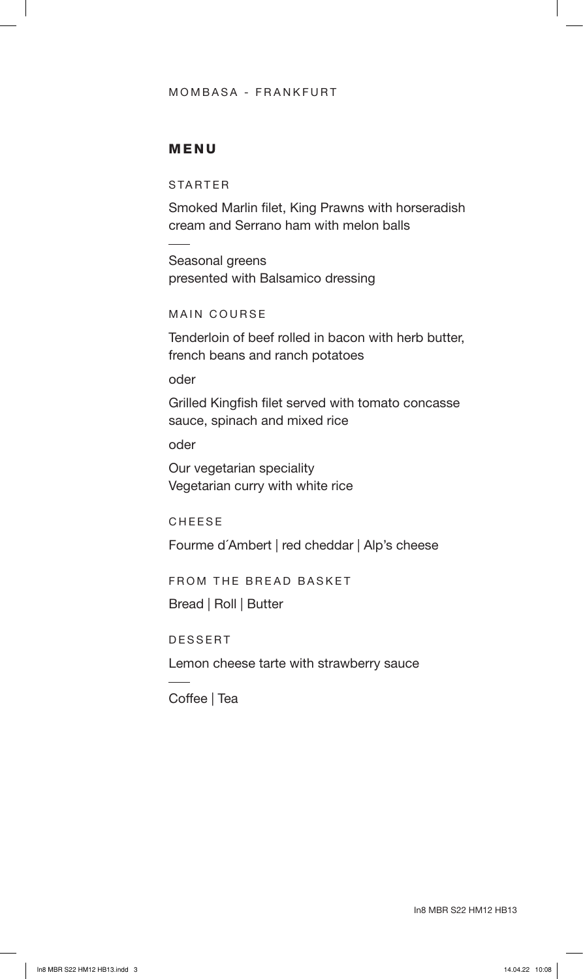### MOMBASA - FRANKFURT

### MENU

STARTER

Smoked Marlin filet, King Prawns with horseradish cream and Serrano ham with melon balls

Seasonal greens presented with Balsamico dressing

#### MAIN COURSE

Tenderloin of beef rolled in bacon with herb butter, french beans and ranch potatoes

oder

Grilled Kingfish filet served with tomato concasse sauce, spinach and mixed rice

oder

Our vegetarian speciality Vegetarian curry with white rice

CHEESE

Fourme d´Ambert | red cheddar | Alp's cheese

FROM THE BREAD BASKET

Bread | Roll | Butter

DESSERT

Lemon cheese tarte with strawberry sauce

Coffee | Tea

In8 MBR S22 HM12 HB13